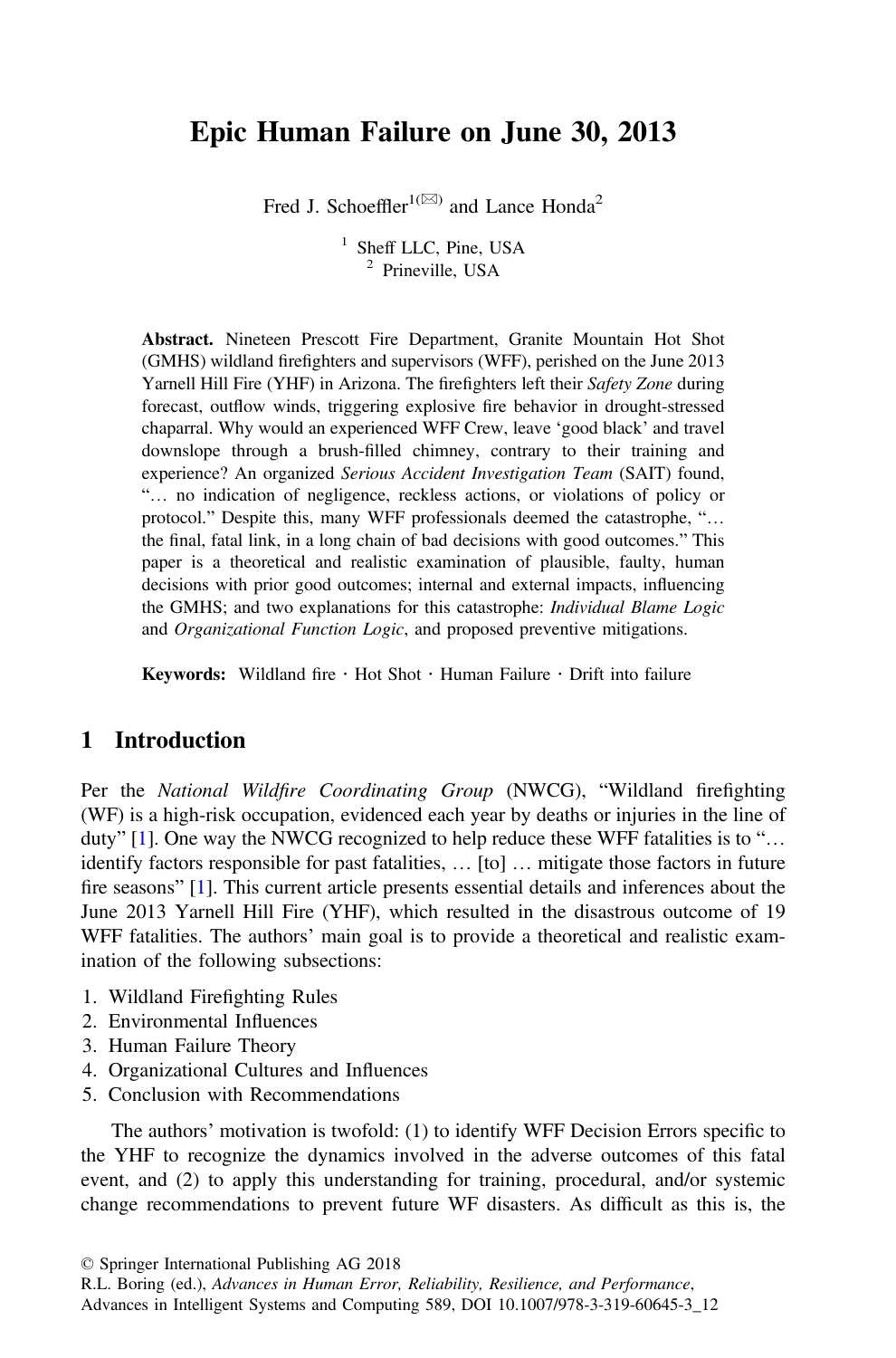# Epic Human Failure on June 30, 2013

Fred J. Schoeffler<sup>1( $\boxtimes$ )</sup> and Lance Honda<sup>2</sup>

<sup>1</sup> Sheff LLC, Pine, USA <sup>2</sup> Prineville, USA

Abstract. Nineteen Prescott Fire Department, Granite Mountain Hot Shot (GMHS) wildland firefighters and supervisors (WFF), perished on the June 2013 Yarnell Hill Fire (YHF) in Arizona. The firefighters left their Safety Zone during forecast, outflow winds, triggering explosive fire behavior in drought-stressed chaparral. Why would an experienced WFF Crew, leave 'good black' and travel downslope through a brush-filled chimney, contrary to their training and experience? An organized Serious Accident Investigation Team (SAIT) found, "… no indication of negligence, reckless actions, or violations of policy or protocol." Despite this, many WFF professionals deemed the catastrophe, "… the final, fatal link, in a long chain of bad decisions with good outcomes." This paper is a theoretical and realistic examination of plausible, faulty, human decisions with prior good outcomes; internal and external impacts, influencing the GMHS; and two explanations for this catastrophe: Individual Blame Logic and Organizational Function Logic, and proposed preventive mitigations.

Keywords: Wildland fire  $\cdot$  Hot Shot  $\cdot$  Human Failure  $\cdot$  Drift into failure

### 1 Introduction

Per the National Wildfire Coordinating Group (NWCG), "Wildland firefighting (WF) is a high-risk occupation, evidenced each year by deaths or injuries in the line of duty" [\[1](#page-9-0)]. One way the NWCG recognized to help reduce these WFF fatalities is to "… identify factors responsible for past fatalities, … [to] … mitigate those factors in future fire seasons" [\[1](#page-9-0)]. This current article presents essential details and inferences about the June 2013 Yarnell Hill Fire (YHF), which resulted in the disastrous outcome of 19 WFF fatalities. The authors' main goal is to provide a theoretical and realistic examination of the following subsections:

- 1. Wildland Firefighting Rules
- 2. Environmental Influences
- 3. Human Failure Theory
- 4. Organizational Cultures and Influences
- 5. Conclusion with Recommendations

The authors' motivation is twofold: (1) to identify WFF Decision Errors specific to the YHF to recognize the dynamics involved in the adverse outcomes of this fatal event, and (2) to apply this understanding for training, procedural, and/or systemic change recommendations to prevent future WF disasters. As difficult as this is, the

<sup>©</sup> Springer International Publishing AG 2018

R.L. Boring (ed.), Advances in Human Error, Reliability, Resilience, and Performance, Advances in Intelligent Systems and Computing 589, DOI 10.1007/978-3-319-60645-3\_12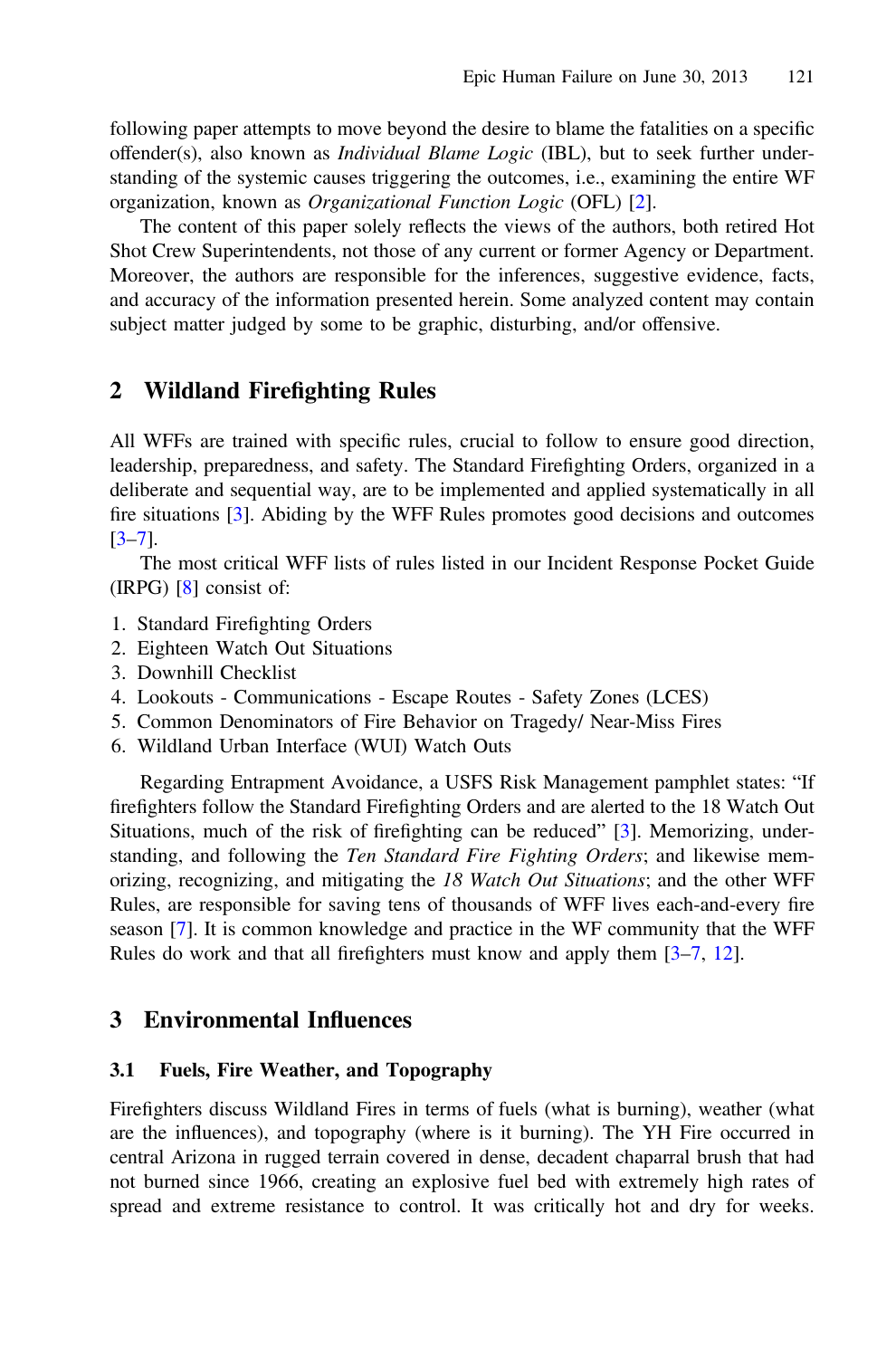following paper attempts to move beyond the desire to blame the fatalities on a specific offender(s), also known as *Individual Blame Logic* (IBL), but to seek further understanding of the systemic causes triggering the outcomes, i.e., examining the entire WF organization, known as Organizational Function Logic (OFL) [[2\]](#page-9-0).

The content of this paper solely reflects the views of the authors, both retired Hot Shot Crew Superintendents, not those of any current or former Agency or Department. Moreover, the authors are responsible for the inferences, suggestive evidence, facts, and accuracy of the information presented herein. Some analyzed content may contain subject matter judged by some to be graphic, disturbing, and/or offensive.

### 2 Wildland Firefighting Rules

All WFFs are trained with specific rules, crucial to follow to ensure good direction, leadership, preparedness, and safety. The Standard Firefighting Orders, organized in a deliberate and sequential way, are to be implemented and applied systematically in all fire situations [\[3](#page-9-0)]. Abiding by the WFF Rules promotes good decisions and outcomes [\[3](#page-9-0)–[7](#page-10-0)].

The most critical WFF lists of rules listed in our Incident Response Pocket Guide (IRPG) [\[8](#page-10-0)] consist of:

- 1. Standard Firefighting Orders
- 2. Eighteen Watch Out Situations
- 3. Downhill Checklist
- 4. Lookouts Communications Escape Routes Safety Zones (LCES)
- 5. Common Denominators of Fire Behavior on Tragedy/ Near-Miss Fires
- 6. Wildland Urban Interface (WUI) Watch Outs

Regarding Entrapment Avoidance, a USFS Risk Management pamphlet states: "If firefighters follow the Standard Firefighting Orders and are alerted to the 18 Watch Out Situations, much of the risk of firefighting can be reduced" [\[3](#page-9-0)]. Memorizing, understanding, and following the Ten Standard Fire Fighting Orders; and likewise memorizing, recognizing, and mitigating the 18 Watch Out Situations; and the other WFF Rules, are responsible for saving tens of thousands of WFF lives each-and-every fire season [[7\]](#page-10-0). It is common knowledge and practice in the WF community that the WFF Rules do work and that all firefighters must know and apply them [[3](#page-9-0)–[7,](#page-10-0) [12\]](#page-10-0).

### 3 Environmental Influences

#### 3.1 Fuels, Fire Weather, and Topography

Firefighters discuss Wildland Fires in terms of fuels (what is burning), weather (what are the influences), and topography (where is it burning). The YH Fire occurred in central Arizona in rugged terrain covered in dense, decadent chaparral brush that had not burned since 1966, creating an explosive fuel bed with extremely high rates of spread and extreme resistance to control. It was critically hot and dry for weeks.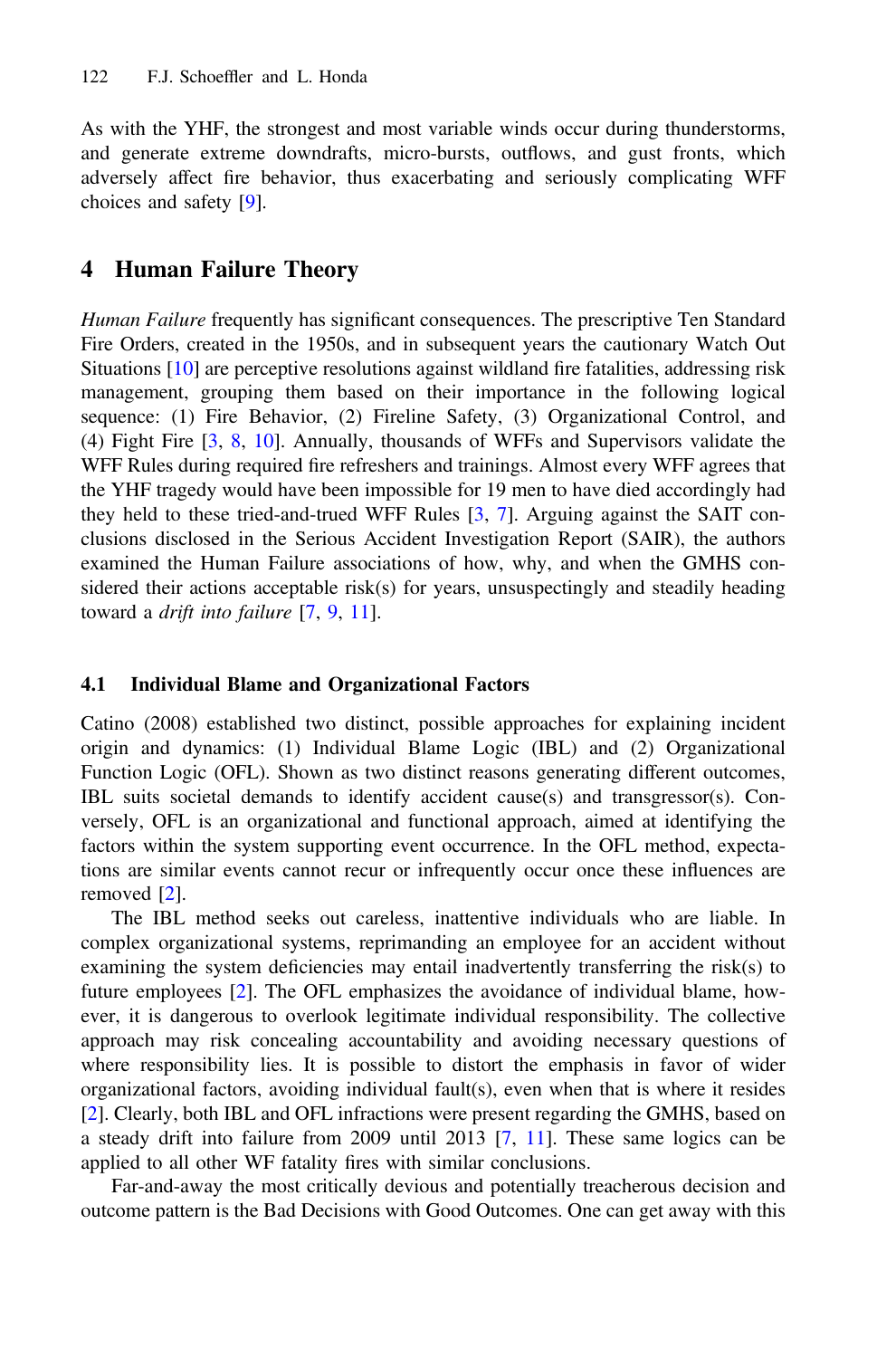As with the YHF, the strongest and most variable winds occur during thunderstorms, and generate extreme downdrafts, micro-bursts, outflows, and gust fronts, which adversely affect fire behavior, thus exacerbating and seriously complicating WFF choices and safety [\[9](#page-10-0)].

### 4 Human Failure Theory

Human Failure frequently has significant consequences. The prescriptive Ten Standard Fire Orders, created in the 1950s, and in subsequent years the cautionary Watch Out Situations [[10\]](#page-10-0) are perceptive resolutions against wildland fire fatalities, addressing risk management, grouping them based on their importance in the following logical sequence: (1) Fire Behavior, (2) Fireline Safety, (3) Organizational Control, and (4) Fight Fire [\[3](#page-9-0), [8](#page-10-0), [10](#page-10-0)]. Annually, thousands of WFFs and Supervisors validate the WFF Rules during required fire refreshers and trainings. Almost every WFF agrees that the YHF tragedy would have been impossible for 19 men to have died accordingly had they held to these tried-and-trued WFF Rules [[3,](#page-9-0) [7\]](#page-10-0). Arguing against the SAIT conclusions disclosed in the Serious Accident Investigation Report (SAIR), the authors examined the Human Failure associations of how, why, and when the GMHS considered their actions acceptable risk(s) for years, unsuspectingly and steadily heading toward a drift into failure [[7,](#page-10-0) [9,](#page-10-0) [11\]](#page-10-0).

#### 4.1 Individual Blame and Organizational Factors

Catino (2008) established two distinct, possible approaches for explaining incident origin and dynamics: (1) Individual Blame Logic (IBL) and (2) Organizational Function Logic (OFL). Shown as two distinct reasons generating different outcomes, IBL suits societal demands to identify accident cause(s) and transgressor(s). Conversely, OFL is an organizational and functional approach, aimed at identifying the factors within the system supporting event occurrence. In the OFL method, expectations are similar events cannot recur or infrequently occur once these influences are removed [[2\]](#page-9-0).

The IBL method seeks out careless, inattentive individuals who are liable. In complex organizational systems, reprimanding an employee for an accident without examining the system deficiencies may entail inadvertently transferring the risk(s) to future employees [[2\]](#page-9-0). The OFL emphasizes the avoidance of individual blame, however, it is dangerous to overlook legitimate individual responsibility. The collective approach may risk concealing accountability and avoiding necessary questions of where responsibility lies. It is possible to distort the emphasis in favor of wider organizational factors, avoiding individual fault(s), even when that is where it resides [[2\]](#page-9-0). Clearly, both IBL and OFL infractions were present regarding the GMHS, based on a steady drift into failure from 2009 until 2013 [\[7](#page-10-0), [11\]](#page-10-0). These same logics can be applied to all other WF fatality fires with similar conclusions.

Far-and-away the most critically devious and potentially treacherous decision and outcome pattern is the Bad Decisions with Good Outcomes. One can get away with this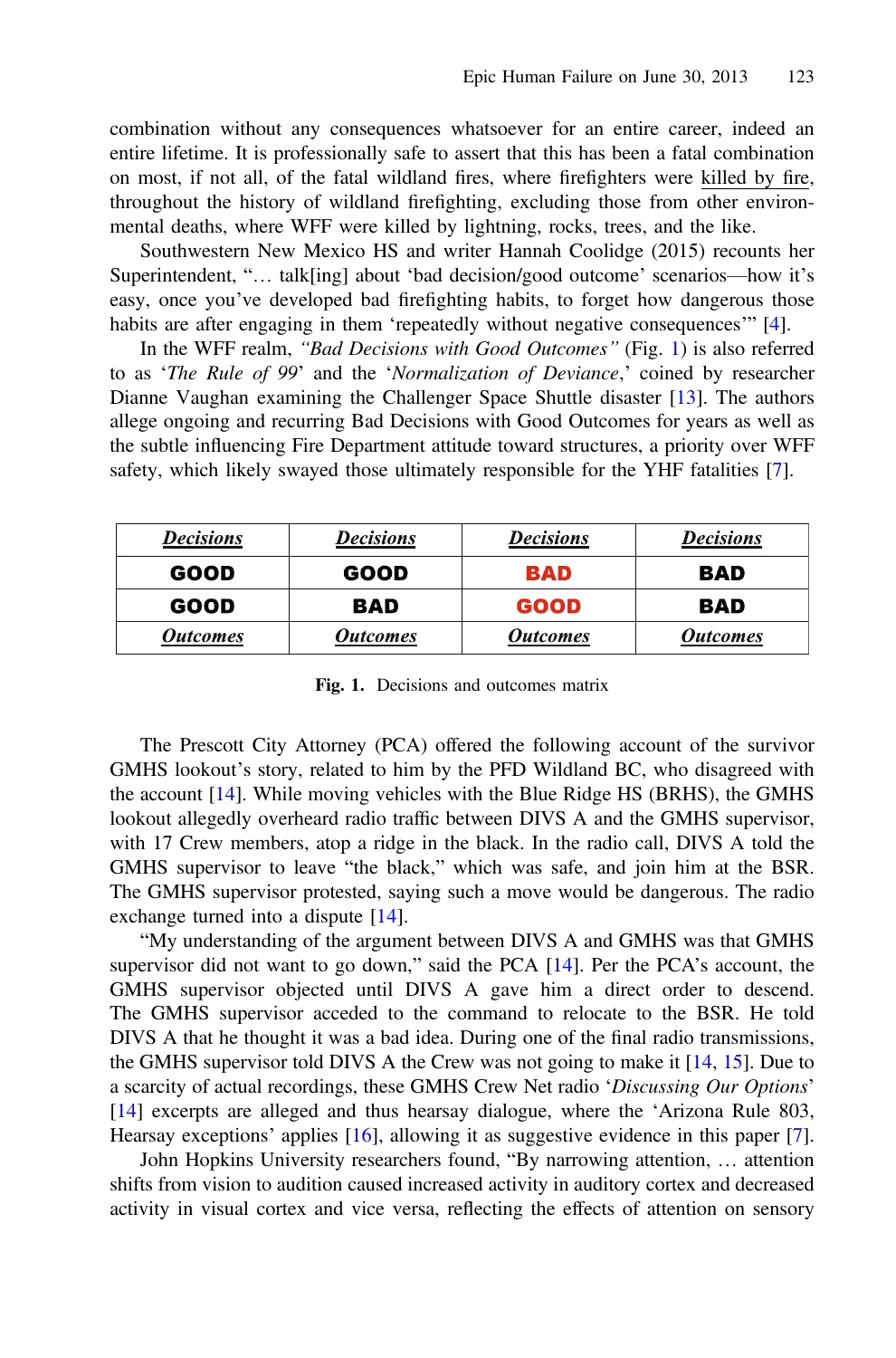combination without any consequences whatsoever for an entire career, indeed an entire lifetime. It is professionally safe to assert that this has been a fatal combination on most, if not all, of the fatal wildland fires, where firefighters were killed by fire, throughout the history of wildland firefighting, excluding those from other environmental deaths, where WFF were killed by lightning, rocks, trees, and the like.

Southwestern New Mexico HS and writer Hannah Coolidge (2015) recounts her Superintendent, "… talk[ing] about 'bad decision/good outcome' scenarios—how it's easy, once you've developed bad firefighting habits, to forget how dangerous those habits are after engaging in them 'repeatedly without negative consequences'" [[4\]](#page-9-0).

In the WFF realm, "Bad Decisions with Good Outcomes" (Fig. 1) is also referred to as 'The Rule of 99' and the 'Normalization of Deviance,' coined by researcher Dianne Vaughan examining the Challenger Space Shuttle disaster [[13\]](#page-10-0). The authors allege ongoing and recurring Bad Decisions with Good Outcomes for years as well as the subtle influencing Fire Department attitude toward structures, a priority over WFF safety, which likely swayed those ultimately responsible for the YHF fatalities [[7\]](#page-10-0).

| <b>Decisions</b>       | <b>Decisions</b> | <b>Decisions</b>       | <b>Decisions</b>       |
|------------------------|------------------|------------------------|------------------------|
| GOOD                   | GOOD             | <b>BAD</b>             | BAD                    |
| GOOD                   | BAD              | <b>GOOD</b>            | BAD                    |
| <i><b>Outcomes</b></i> | Outcomes         | <i><b>Outcomes</b></i> | <i><b>Outcomes</b></i> |

Fig. 1. Decisions and outcomes matrix

The Prescott City Attorney (PCA) offered the following account of the survivor GMHS lookout's story, related to him by the PFD Wildland BC, who disagreed with the account [[14\]](#page-10-0). While moving vehicles with the Blue Ridge HS (BRHS), the GMHS lookout allegedly overheard radio traffic between DIVS A and the GMHS supervisor, with 17 Crew members, atop a ridge in the black. In the radio call, DIVS A told the GMHS supervisor to leave "the black," which was safe, and join him at the BSR. The GMHS supervisor protested, saying such a move would be dangerous. The radio exchange turned into a dispute [[14\]](#page-10-0).

"My understanding of the argument between DIVS A and GMHS was that GMHS supervisor did not want to go down," said the PCA  $[14]$  $[14]$ . Per the PCA's account, the GMHS supervisor objected until DIVS A gave him a direct order to descend. The GMHS supervisor acceded to the command to relocate to the BSR. He told DIVS A that he thought it was a bad idea. During one of the final radio transmissions, the GMHS supervisor told DIVS A the Crew was not going to make it [[14,](#page-10-0) [15\]](#page-10-0). Due to a scarcity of actual recordings, these GMHS Crew Net radio 'Discussing Our Options' [\[14](#page-10-0)] excerpts are alleged and thus hearsay dialogue, where the 'Arizona Rule 803, Hearsay exceptions' applies [\[16](#page-10-0)], allowing it as suggestive evidence in this paper [[7\]](#page-10-0).

John Hopkins University researchers found, "By narrowing attention, … attention shifts from vision to audition caused increased activity in auditory cortex and decreased activity in visual cortex and vice versa, reflecting the effects of attention on sensory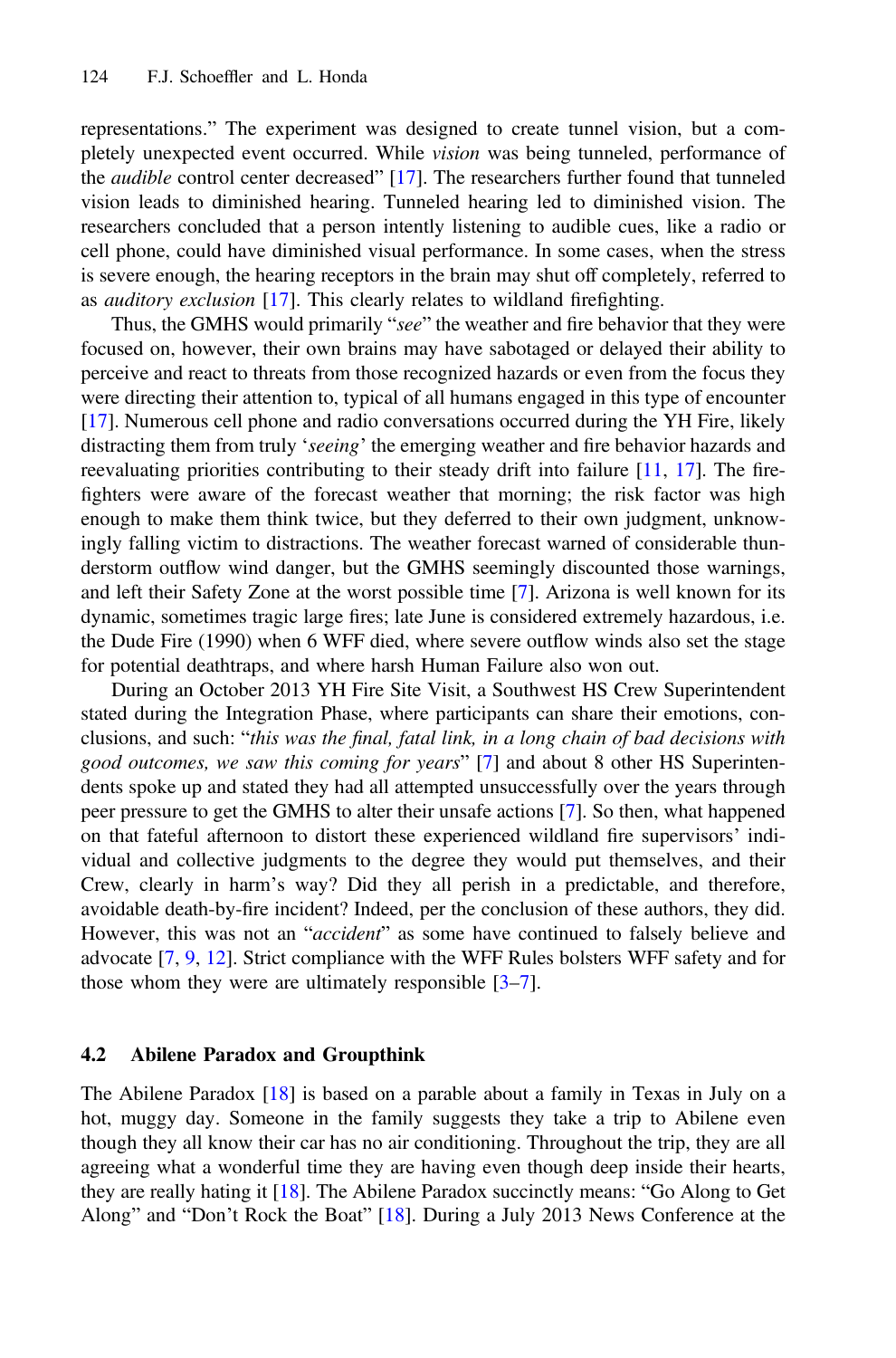representations." The experiment was designed to create tunnel vision, but a completely unexpected event occurred. While vision was being tunneled, performance of the audible control center decreased" [\[17](#page-10-0)]. The researchers further found that tunneled vision leads to diminished hearing. Tunneled hearing led to diminished vision. The researchers concluded that a person intently listening to audible cues, like a radio or cell phone, could have diminished visual performance. In some cases, when the stress is severe enough, the hearing receptors in the brain may shut off completely, referred to as auditory exclusion [[17\]](#page-10-0). This clearly relates to wildland firefighting.

Thus, the GMHS would primarily "see" the weather and fire behavior that they were focused on, however, their own brains may have sabotaged or delayed their ability to perceive and react to threats from those recognized hazards or even from the focus they were directing their attention to, typical of all humans engaged in this type of encounter [[17\]](#page-10-0). Numerous cell phone and radio conversations occurred during the YH Fire, likely distracting them from truly 'seeing' the emerging weather and fire behavior hazards and reevaluating priorities contributing to their steady drift into failure [\[11](#page-10-0), [17](#page-10-0)]. The firefighters were aware of the forecast weather that morning; the risk factor was high enough to make them think twice, but they deferred to their own judgment, unknowingly falling victim to distractions. The weather forecast warned of considerable thunderstorm outflow wind danger, but the GMHS seemingly discounted those warnings, and left their Safety Zone at the worst possible time [\[7](#page-10-0)]. Arizona is well known for its dynamic, sometimes tragic large fires; late June is considered extremely hazardous, i.e. the Dude Fire (1990) when 6 WFF died, where severe outflow winds also set the stage for potential deathtraps, and where harsh Human Failure also won out.

During an October 2013 YH Fire Site Visit, a Southwest HS Crew Superintendent stated during the Integration Phase, where participants can share their emotions, conclusions, and such: "this was the final, fatal link, in a long chain of bad decisions with good outcomes, we saw this coming for years" [[7\]](#page-10-0) and about 8 other HS Superintendents spoke up and stated they had all attempted unsuccessfully over the years through peer pressure to get the GMHS to alter their unsafe actions [\[7](#page-10-0)]. So then, what happened on that fateful afternoon to distort these experienced wildland fire supervisors' individual and collective judgments to the degree they would put themselves, and their Crew, clearly in harm's way? Did they all perish in a predictable, and therefore, avoidable death-by-fire incident? Indeed, per the conclusion of these authors, they did. However, this was not an "*accident*" as some have continued to falsely believe and advocate [[7,](#page-10-0) [9,](#page-10-0) [12\]](#page-10-0). Strict compliance with the WFF Rules bolsters WFF safety and for those whom they were are ultimately responsible [\[3](#page-9-0)–[7\]](#page-10-0).

#### 4.2 Abilene Paradox and Groupthink

The Abilene Paradox [[18\]](#page-10-0) is based on a parable about a family in Texas in July on a hot, muggy day. Someone in the family suggests they take a trip to Abilene even though they all know their car has no air conditioning. Throughout the trip, they are all agreeing what a wonderful time they are having even though deep inside their hearts, they are really hating it [[18\]](#page-10-0). The Abilene Paradox succinctly means: "Go Along to Get Along" and "Don't Rock the Boat" [[18\]](#page-10-0). During a July 2013 News Conference at the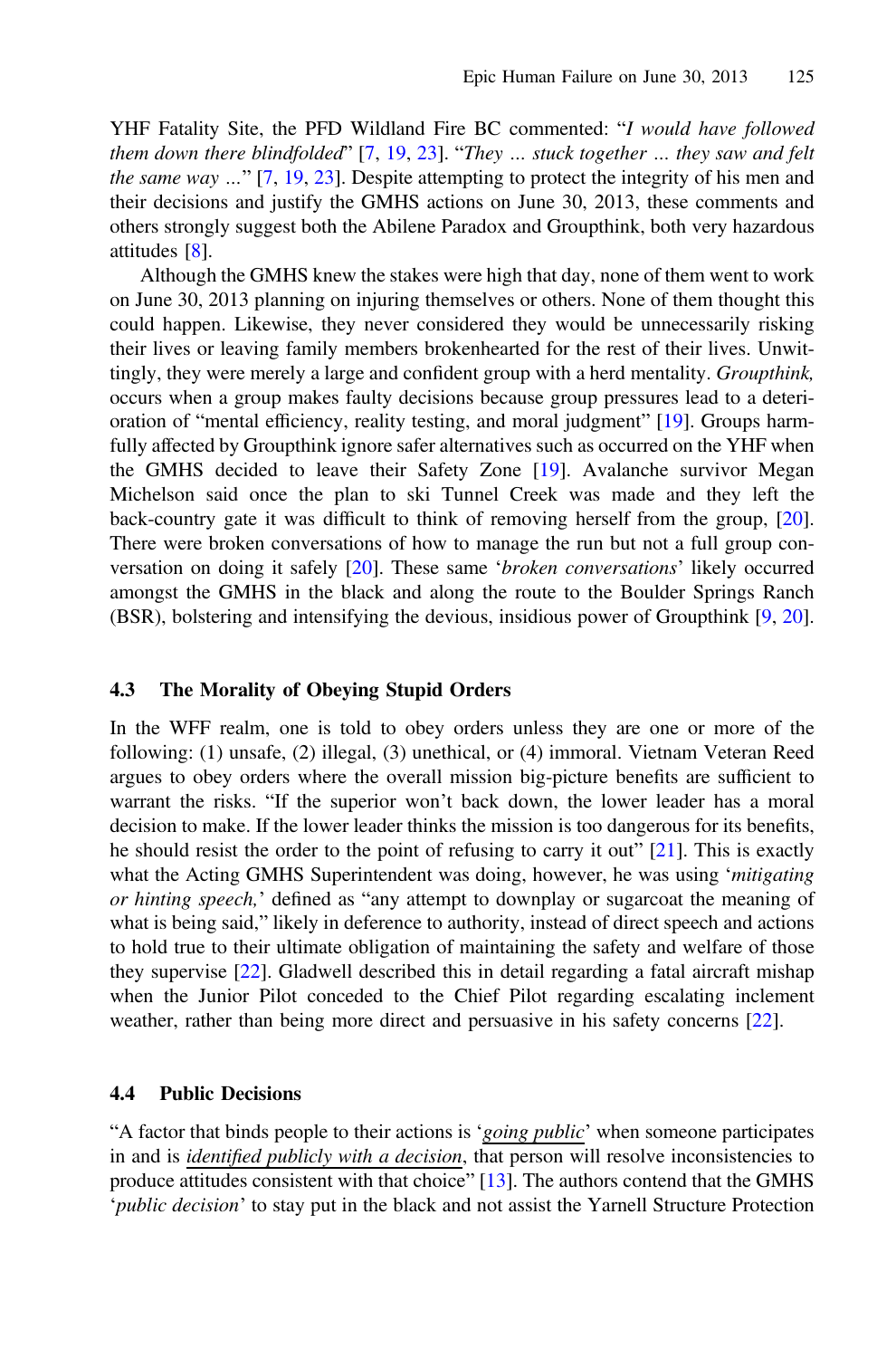YHF Fatality Site, the PFD Wildland Fire BC commented: "I would have followed them down there blindfolded"  $[7, 19, 23]$  $[7, 19, 23]$  $[7, 19, 23]$  $[7, 19, 23]$  $[7, 19, 23]$ . "They ... stuck together ... they saw and felt the same way …" [\[7](#page-10-0), [19](#page-10-0), [23](#page-10-0)]. Despite attempting to protect the integrity of his men and their decisions and justify the GMHS actions on June 30, 2013, these comments and others strongly suggest both the Abilene Paradox and Groupthink, both very hazardous attitudes [[8\]](#page-10-0).

Although the GMHS knew the stakes were high that day, none of them went to work on June 30, 2013 planning on injuring themselves or others. None of them thought this could happen. Likewise, they never considered they would be unnecessarily risking their lives or leaving family members brokenhearted for the rest of their lives. Unwittingly, they were merely a large and confident group with a herd mentality. Groupthink, occurs when a group makes faulty decisions because group pressures lead to a deterioration of "mental efficiency, reality testing, and moral judgment" [\[19](#page-10-0)]. Groups harmfully affected by Groupthink ignore safer alternatives such as occurred on the YHF when the GMHS decided to leave their Safety Zone [[19\]](#page-10-0). Avalanche survivor Megan Michelson said once the plan to ski Tunnel Creek was made and they left the back-country gate it was difficult to think of removing herself from the group, [[20\]](#page-10-0). There were broken conversations of how to manage the run but not a full group conversation on doing it safely [[20\]](#page-10-0). These same 'broken conversations' likely occurred amongst the GMHS in the black and along the route to the Boulder Springs Ranch (BSR), bolstering and intensifying the devious, insidious power of Groupthink [[9,](#page-10-0) [20\]](#page-10-0).

#### 4.3 The Morality of Obeying Stupid Orders

In the WFF realm, one is told to obey orders unless they are one or more of the following: (1) unsafe, (2) illegal, (3) unethical, or (4) immoral. Vietnam Veteran Reed argues to obey orders where the overall mission big-picture benefits are sufficient to warrant the risks. "If the superior won't back down, the lower leader has a moral decision to make. If the lower leader thinks the mission is too dangerous for its benefits, he should resist the order to the point of refusing to carry it out"  $[21]$  $[21]$ . This is exactly what the Acting GMHS Superintendent was doing, however, he was using 'mitigating or hinting speech,' defined as "any attempt to downplay or sugarcoat the meaning of what is being said," likely in deference to authority, instead of direct speech and actions to hold true to their ultimate obligation of maintaining the safety and welfare of those they supervise [[22\]](#page-10-0). Gladwell described this in detail regarding a fatal aircraft mishap when the Junior Pilot conceded to the Chief Pilot regarding escalating inclement weather, rather than being more direct and persuasive in his safety concerns [\[22](#page-10-0)].

#### 4.4 Public Decisions

"A factor that binds people to their actions is '*going public*' when someone participates in and is identified publicly with  $a$  decision, that person will resolve inconsistencies to produce attitudes consistent with that choice" [\[13](#page-10-0)]. The authors contend that the GMHS 'public decision' to stay put in the black and not assist the Yarnell Structure Protection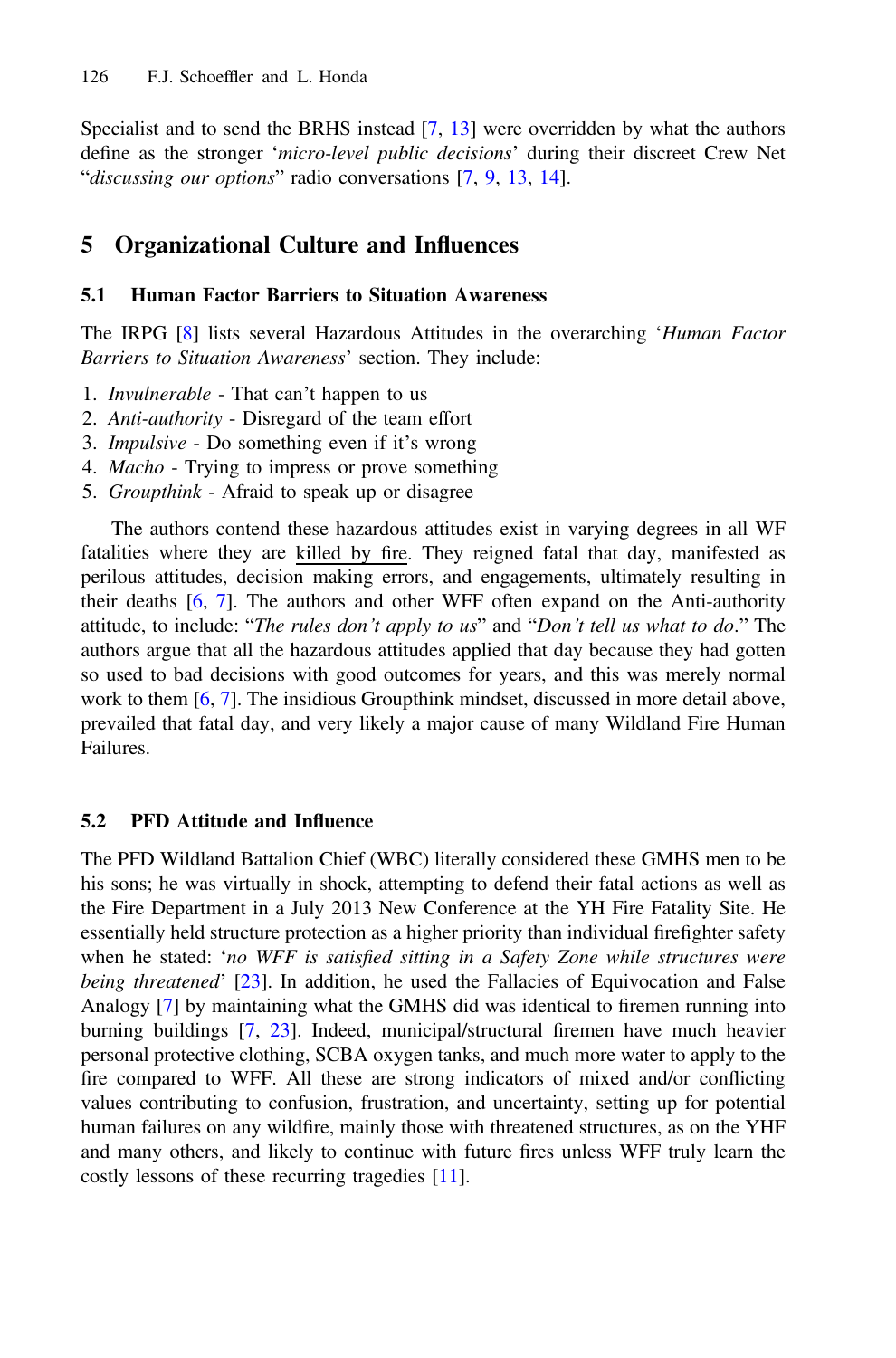Specialist and to send the BRHS instead [[7,](#page-10-0) [13\]](#page-10-0) were overridden by what the authors define as the stronger 'micro-level public decisions' during their discreet Crew Net "discussing our options" radio conversations [\[7](#page-10-0), [9](#page-10-0), [13,](#page-10-0) [14\]](#page-10-0).

## 5 Organizational Culture and Influences

### 5.1 Human Factor Barriers to Situation Awareness

The IRPG [[8\]](#page-10-0) lists several Hazardous Attitudes in the overarching 'Human Factor Barriers to Situation Awareness' section. They include:

- 1. Invulnerable That can't happen to us
- 2. Anti-authority Disregard of the team effort
- 3. Impulsive Do something even if it's wrong
- 4. Macho Trying to impress or prove something
- 5. Groupthink Afraid to speak up or disagree

The authors contend these hazardous attitudes exist in varying degrees in all WF fatalities where they are killed by fire. They reigned fatal that day, manifested as perilous attitudes, decision making errors, and engagements, ultimately resulting in their deaths [[6](#page-10-0), [7](#page-10-0)]. The authors and other WFF often expand on the Anti-authority attitude, to include: "The rules don't apply to us" and "Don't tell us what to do." The authors argue that all the hazardous attitudes applied that day because they had gotten so used to bad decisions with good outcomes for years, and this was merely normal work to them [\[6](#page-10-0), [7](#page-10-0)]. The insidious Groupthink mindset, discussed in more detail above, prevailed that fatal day, and very likely a major cause of many Wildland Fire Human Failures.

### 5.2 PFD Attitude and Influence

The PFD Wildland Battalion Chief (WBC) literally considered these GMHS men to be his sons; he was virtually in shock, attempting to defend their fatal actions as well as the Fire Department in a July 2013 New Conference at the YH Fire Fatality Site. He essentially held structure protection as a higher priority than individual firefighter safety when he stated: 'no WFF is satisfied sitting in a Safety Zone while structures were being threatened' [\[23](#page-10-0)]. In addition, he used the Fallacies of Equivocation and False Analogy [[7\]](#page-10-0) by maintaining what the GMHS did was identical to firemen running into burning buildings [\[7](#page-10-0), [23](#page-10-0)]. Indeed, municipal/structural firemen have much heavier personal protective clothing, SCBA oxygen tanks, and much more water to apply to the fire compared to WFF. All these are strong indicators of mixed and/or conflicting values contributing to confusion, frustration, and uncertainty, setting up for potential human failures on any wildfire, mainly those with threatened structures, as on the YHF and many others, and likely to continue with future fires unless WFF truly learn the costly lessons of these recurring tragedies [\[11](#page-10-0)].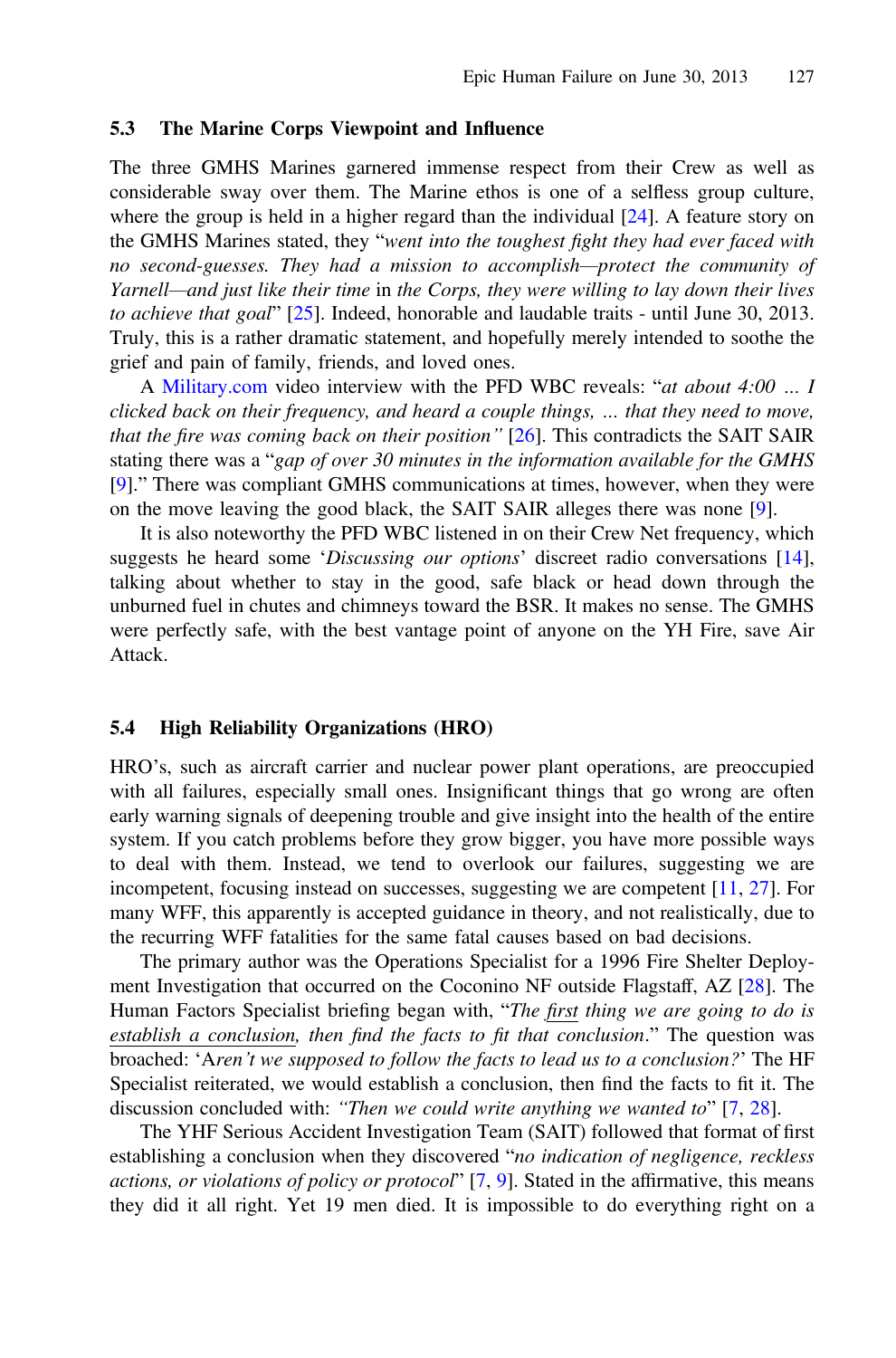#### 5.3 The Marine Corps Viewpoint and Influence

The three GMHS Marines garnered immense respect from their Crew as well as considerable sway over them. The Marine ethos is one of a selfless group culture, where the group is held in a higher regard than the individual  $[24]$  $[24]$ . A feature story on the GMHS Marines stated, they "went into the toughest fight they had ever faced with no second-guesses. They had a mission to accomplish—protect the community of Yarnell—and just like their time in the Corps, they were willing to lay down their lives to achieve that goal" [[25\]](#page-10-0). Indeed, honorable and laudable traits - until June 30, 2013. Truly, this is a rather dramatic statement, and hopefully merely intended to soothe the grief and pain of family, friends, and loved ones.

A [Military.com](http://Military.com) video interview with the PFD WBC reveals: "at about 4:00 ... I clicked back on their frequency, and heard a couple things, … that they need to move, that the fire was coming back on their position"  $[26]$  $[26]$  $[26]$ . This contradicts the SAIT SAIR stating there was a "gap of over 30 minutes in the information available for the GMHS [\[9](#page-10-0)]." There was compliant GMHS communications at times, however, when they were on the move leaving the good black, the SAIT SAIR alleges there was none [[9\]](#page-10-0).

It is also noteworthy the PFD WBC listened in on their Crew Net frequency, which suggests he heard some 'Discussing our options' discreet radio conversations [[14\]](#page-10-0), talking about whether to stay in the good, safe black or head down through the unburned fuel in chutes and chimneys toward the BSR. It makes no sense. The GMHS were perfectly safe, with the best vantage point of anyone on the YH Fire, save Air Attack.

#### 5.4 High Reliability Organizations (HRO)

HRO's, such as aircraft carrier and nuclear power plant operations, are preoccupied with all failures, especially small ones. Insignificant things that go wrong are often early warning signals of deepening trouble and give insight into the health of the entire system. If you catch problems before they grow bigger, you have more possible ways to deal with them. Instead, we tend to overlook our failures, suggesting we are incompetent, focusing instead on successes, suggesting we are competent [\[11](#page-10-0), [27\]](#page-10-0). For many WFF, this apparently is accepted guidance in theory, and not realistically, due to the recurring WFF fatalities for the same fatal causes based on bad decisions.

The primary author was the Operations Specialist for a 1996 Fire Shelter Deployment Investigation that occurred on the Coconino NF outside Flagstaff, AZ [\[28](#page-10-0)]. The Human Factors Specialist briefing began with, "The first thing we are going to do is establish a conclusion, then find the facts to fit that conclusion." The question was broached: 'Aren't we supposed to follow the facts to lead us to a conclusion?' The HF Specialist reiterated, we would establish a conclusion, then find the facts to fit it. The discussion concluded with: "Then we could write anything we wanted to" [[7](#page-10-0), [28\]](#page-10-0).

The YHF Serious Accident Investigation Team (SAIT) followed that format of first establishing a conclusion when they discovered "no indication of negligence, reckless actions, or violations of policy or protocol"  $[7, 9]$  $[7, 9]$  $[7, 9]$  $[7, 9]$ . Stated in the affirmative, this means they did it all right. Yet 19 men died. It is impossible to do everything right on a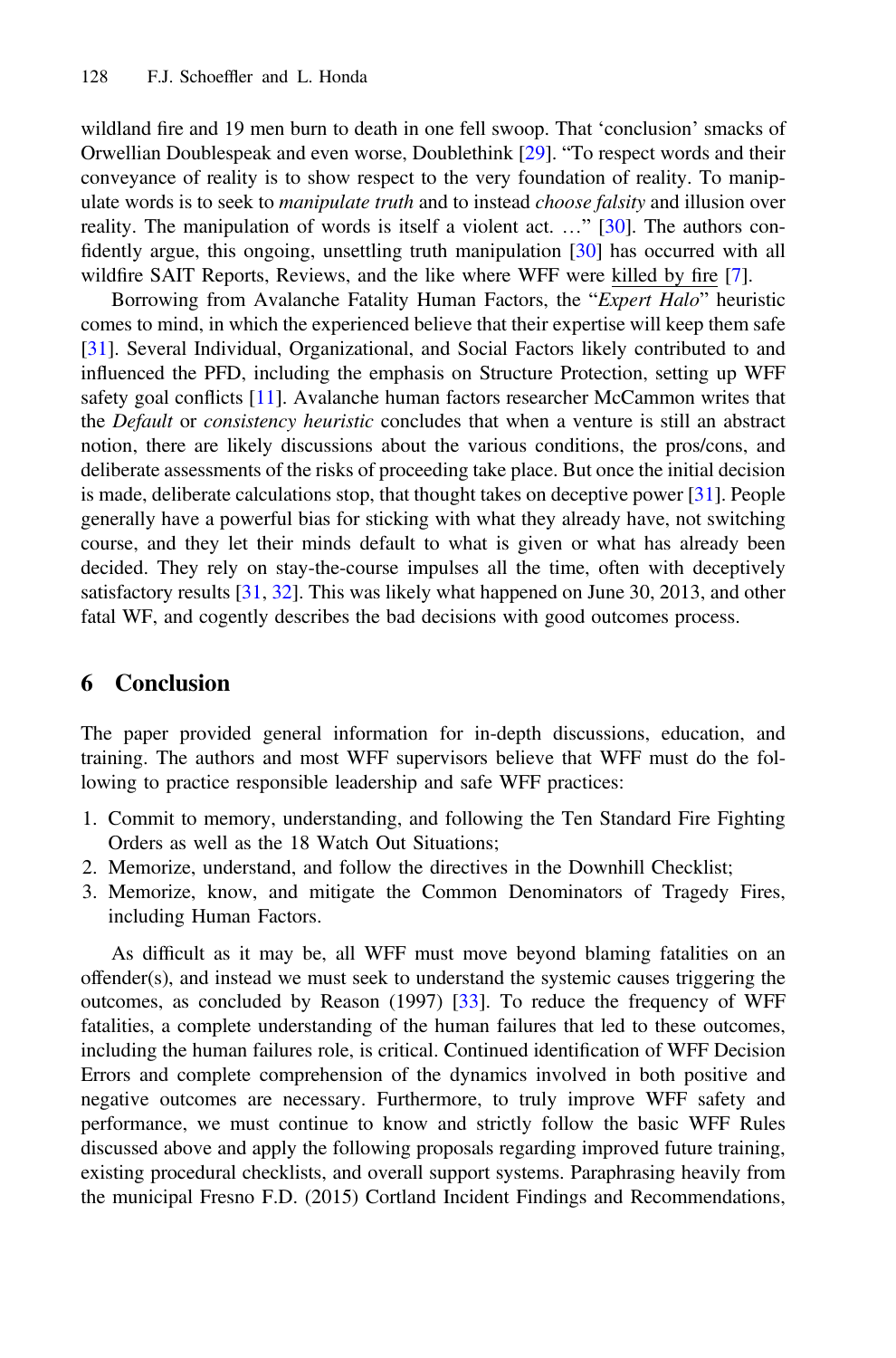wildland fire and 19 men burn to death in one fell swoop. That 'conclusion' smacks of Orwellian Doublespeak and even worse, Doublethink [[29\]](#page-10-0). "To respect words and their conveyance of reality is to show respect to the very foundation of reality. To manipulate words is to seek to *manipulate truth* and to instead *choose falsity* and illusion over reality. The manipulation of words is itself a violent act. …" [[30\]](#page-10-0). The authors confidently argue, this ongoing, unsettling truth manipulation [[30\]](#page-10-0) has occurred with all wildfire SAIT Reports, Reviews, and the like where WFF were killed by fire [[7\]](#page-10-0).

Borrowing from Avalanche Fatality Human Factors, the "Expert Halo" heuristic comes to mind, in which the experienced believe that their expertise will keep them safe [[31\]](#page-11-0). Several Individual, Organizational, and Social Factors likely contributed to and influenced the PFD, including the emphasis on Structure Protection, setting up WFF safety goal conflicts [\[11](#page-10-0)]. Avalanche human factors researcher McCammon writes that the *Default* or *consistency heuristic* concludes that when a venture is still an abstract notion, there are likely discussions about the various conditions, the pros/cons, and deliberate assessments of the risks of proceeding take place. But once the initial decision is made, deliberate calculations stop, that thought takes on deceptive power [[31\]](#page-11-0). People generally have a powerful bias for sticking with what they already have, not switching course, and they let their minds default to what is given or what has already been decided. They rely on stay-the-course impulses all the time, often with deceptively satisfactory results [[31,](#page-11-0) [32](#page-11-0)]. This was likely what happened on June 30, 2013, and other fatal WF, and cogently describes the bad decisions with good outcomes process.

### 6 Conclusion

The paper provided general information for in-depth discussions, education, and training. The authors and most WFF supervisors believe that WFF must do the following to practice responsible leadership and safe WFF practices:

- 1. Commit to memory, understanding, and following the Ten Standard Fire Fighting Orders as well as the 18 Watch Out Situations;
- 2. Memorize, understand, and follow the directives in the Downhill Checklist;
- 3. Memorize, know, and mitigate the Common Denominators of Tragedy Fires, including Human Factors.

As difficult as it may be, all WFF must move beyond blaming fatalities on an offender(s), and instead we must seek to understand the systemic causes triggering the outcomes, as concluded by Reason (1997) [\[33](#page-11-0)]. To reduce the frequency of WFF fatalities, a complete understanding of the human failures that led to these outcomes, including the human failures role, is critical. Continued identification of WFF Decision Errors and complete comprehension of the dynamics involved in both positive and negative outcomes are necessary. Furthermore, to truly improve WFF safety and performance, we must continue to know and strictly follow the basic WFF Rules discussed above and apply the following proposals regarding improved future training, existing procedural checklists, and overall support systems. Paraphrasing heavily from the municipal Fresno F.D. (2015) Cortland Incident Findings and Recommendations,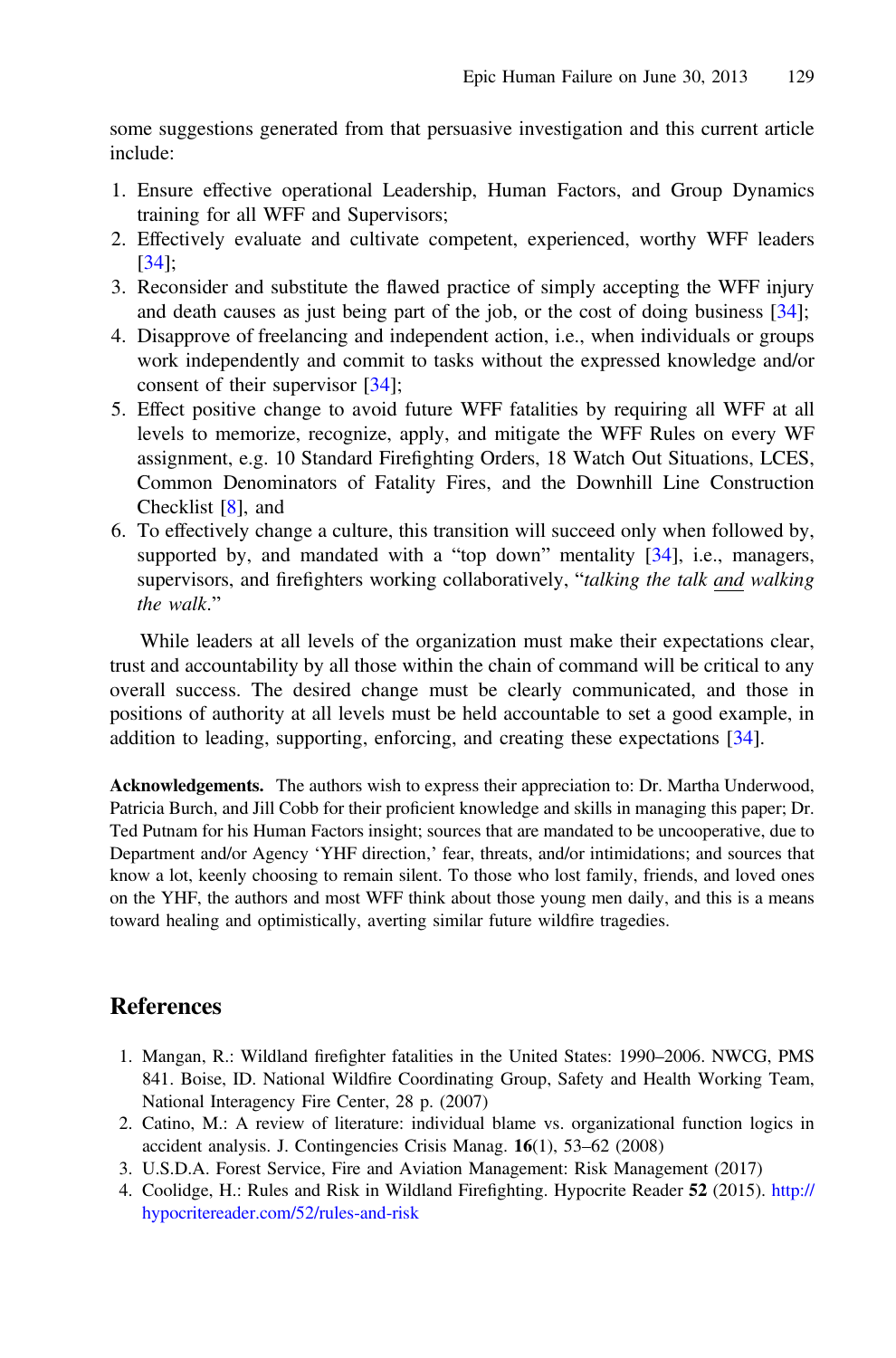<span id="page-9-0"></span>some suggestions generated from that persuasive investigation and this current article include:

- 1. Ensure effective operational Leadership, Human Factors, and Group Dynamics training for all WFF and Supervisors;
- 2. Effectively evaluate and cultivate competent, experienced, worthy WFF leaders [[34\]](#page-11-0);
- 3. Reconsider and substitute the flawed practice of simply accepting the WFF injury and death causes as just being part of the job, or the cost of doing business [\[34](#page-11-0)];
- 4. Disapprove of freelancing and independent action, i.e., when individuals or groups work independently and commit to tasks without the expressed knowledge and/or consent of their supervisor [\[34](#page-11-0)];
- 5. Effect positive change to avoid future WFF fatalities by requiring all WFF at all levels to memorize, recognize, apply, and mitigate the WFF Rules on every WF assignment, e.g. 10 Standard Firefighting Orders, 18 Watch Out Situations, LCES, Common Denominators of Fatality Fires, and the Downhill Line Construction Checklist [\[8](#page-10-0)], and
- 6. To effectively change a culture, this transition will succeed only when followed by, supported by, and mandated with a "top down" mentality  $[34]$  $[34]$ , i.e., managers, supervisors, and firefighters working collaboratively, "talking the talk and walking the walk."

While leaders at all levels of the organization must make their expectations clear, trust and accountability by all those within the chain of command will be critical to any overall success. The desired change must be clearly communicated, and those in positions of authority at all levels must be held accountable to set a good example, in addition to leading, supporting, enforcing, and creating these expectations [[34\]](#page-11-0).

Acknowledgements. The authors wish to express their appreciation to: Dr. Martha Underwood, Patricia Burch, and Jill Cobb for their proficient knowledge and skills in managing this paper; Dr. Ted Putnam for his Human Factors insight; sources that are mandated to be uncooperative, due to Department and/or Agency 'YHF direction,' fear, threats, and/or intimidations; and sources that know a lot, keenly choosing to remain silent. To those who lost family, friends, and loved ones on the YHF, the authors and most WFF think about those young men daily, and this is a means toward healing and optimistically, averting similar future wildfire tragedies.

### References

- 1. Mangan, R.: Wildland firefighter fatalities in the United States: 1990–2006. NWCG, PMS 841. Boise, ID. National Wildfire Coordinating Group, Safety and Health Working Team, National Interagency Fire Center, 28 p. (2007)
- 2. Catino, M.: A review of literature: individual blame vs. organizational function logics in accident analysis. J. Contingencies Crisis Manag. 16(1), 53–62 (2008)
- 3. U.S.D.A. Forest Service, Fire and Aviation Management: Risk Management (2017)
- 4. Coolidge, H.: Rules and Risk in Wildland Firefighting. Hypocrite Reader 52 (2015). [http://](http://hypocritereader.com/52/rules-and-risk) [hypocritereader.com/52/rules-and-risk](http://hypocritereader.com/52/rules-and-risk)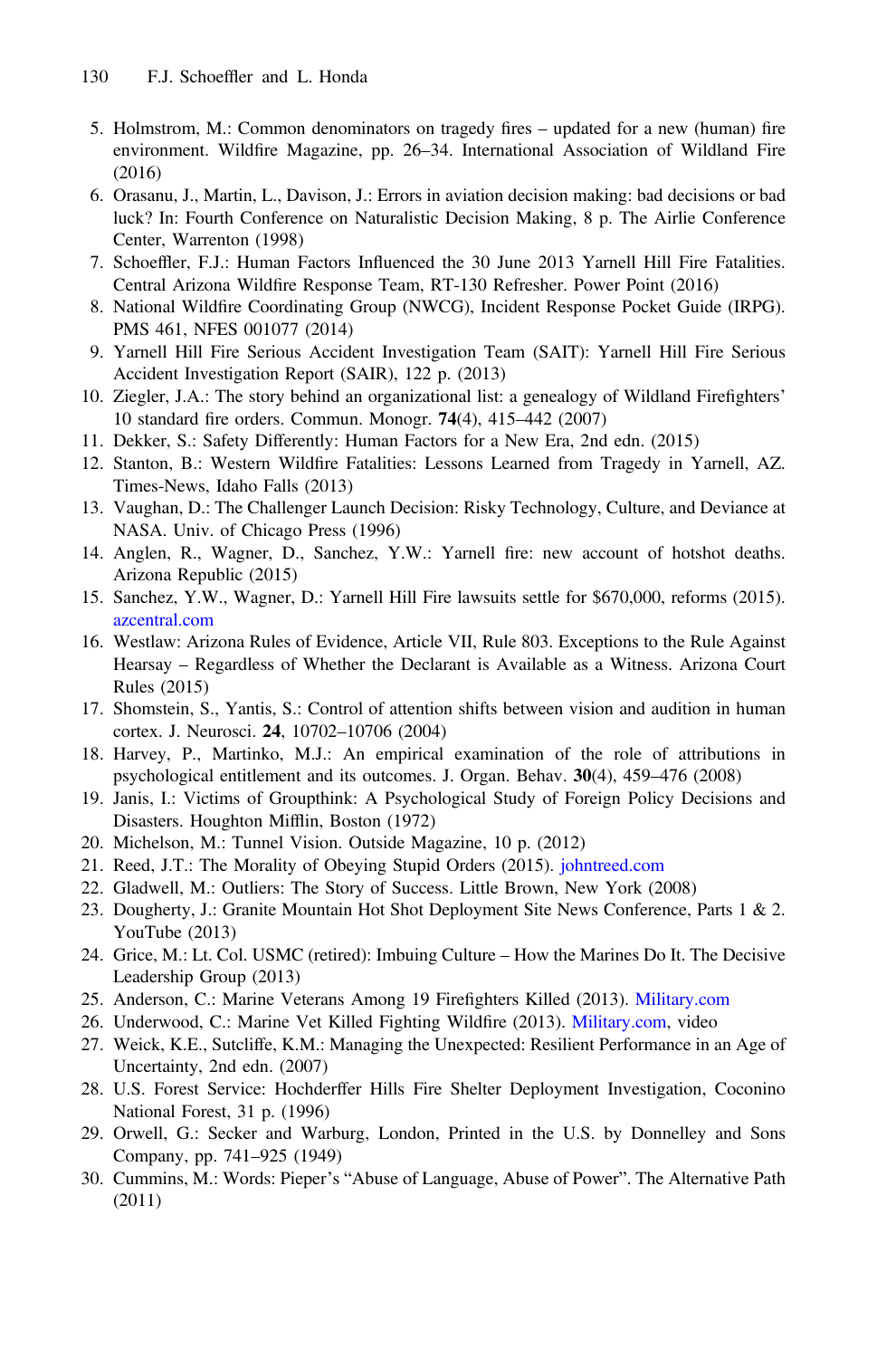- <span id="page-10-0"></span>5. Holmstrom, M.: Common denominators on tragedy fires – updated for a new (human) fire environment. Wildfire Magazine, pp. 26–34. International Association of Wildland Fire (2016)
- 6. Orasanu, J., Martin, L., Davison, J.: Errors in aviation decision making: bad decisions or bad luck? In: Fourth Conference on Naturalistic Decision Making, 8 p. The Airlie Conference Center, Warrenton (1998)
- 7. Schoeffler, F.J.: Human Factors Influenced the 30 June 2013 Yarnell Hill Fire Fatalities. Central Arizona Wildfire Response Team, RT-130 Refresher. Power Point (2016)
- 8. National Wildfire Coordinating Group (NWCG), Incident Response Pocket Guide (IRPG). PMS 461, NFES 001077 (2014)
- 9. Yarnell Hill Fire Serious Accident Investigation Team (SAIT): Yarnell Hill Fire Serious Accident Investigation Report (SAIR), 122 p. (2013)
- 10. Ziegler, J.A.: The story behind an organizational list: a genealogy of Wildland Firefighters' 10 standard fire orders. Commun. Monogr. 74(4), 415–442 (2007)
- 11. Dekker, S.: Safety Differently: Human Factors for a New Era, 2nd edn. (2015)
- 12. Stanton, B.: Western Wildfire Fatalities: Lessons Learned from Tragedy in Yarnell, AZ. Times-News, Idaho Falls (2013)
- 13. Vaughan, D.: The Challenger Launch Decision: Risky Technology, Culture, and Deviance at NASA. Univ. of Chicago Press (1996)
- 14. Anglen, R., Wagner, D., Sanchez, Y.W.: Yarnell fire: new account of hotshot deaths. Arizona Republic (2015)
- 15. Sanchez, Y.W., Wagner, D.: Yarnell Hill Fire lawsuits settle for \$670,000, reforms (2015). [azcentral.com](http://azcentral.com)
- 16. Westlaw: Arizona Rules of Evidence, Article VII, Rule 803. Exceptions to the Rule Against Hearsay – Regardless of Whether the Declarant is Available as a Witness. Arizona Court Rules (2015)
- 17. Shomstein, S., Yantis, S.: Control of attention shifts between vision and audition in human cortex. J. Neurosci. 24, 10702–10706 (2004)
- 18. Harvey, P., Martinko, M.J.: An empirical examination of the role of attributions in psychological entitlement and its outcomes. J. Organ. Behav. 30(4), 459–476 (2008)
- 19. Janis, I.: Victims of Groupthink: A Psychological Study of Foreign Policy Decisions and Disasters. Houghton Mifflin, Boston (1972)
- 20. Michelson, M.: Tunnel Vision. Outside Magazine, 10 p. (2012)
- 21. Reed, J.T.: The Morality of Obeying Stupid Orders (2015). [johntreed.com](http://johntreed.com)
- 22. Gladwell, M.: Outliers: The Story of Success. Little Brown, New York (2008)
- 23. Dougherty, J.: Granite Mountain Hot Shot Deployment Site News Conference, Parts 1 & 2. YouTube (2013)
- 24. Grice, M.: Lt. Col. USMC (retired): Imbuing Culture How the Marines Do It. The Decisive Leadership Group (2013)
- 25. Anderson, C.: Marine Veterans Among 19 Firefighters Killed (2013). [Military.com](http://Military.com)
- 26. Underwood, C.: Marine Vet Killed Fighting Wildfire (2013). [Military.com](http://Military.com), video
- 27. Weick, K.E., Sutcliffe, K.M.: Managing the Unexpected: Resilient Performance in an Age of Uncertainty, 2nd edn. (2007)
- 28. U.S. Forest Service: Hochderffer Hills Fire Shelter Deployment Investigation, Coconino National Forest, 31 p. (1996)
- 29. Orwell, G.: Secker and Warburg, London, Printed in the U.S. by Donnelley and Sons Company, pp. 741–925 (1949)
- 30. Cummins, M.: Words: Pieper's "Abuse of Language, Abuse of Power". The Alternative Path (2011)